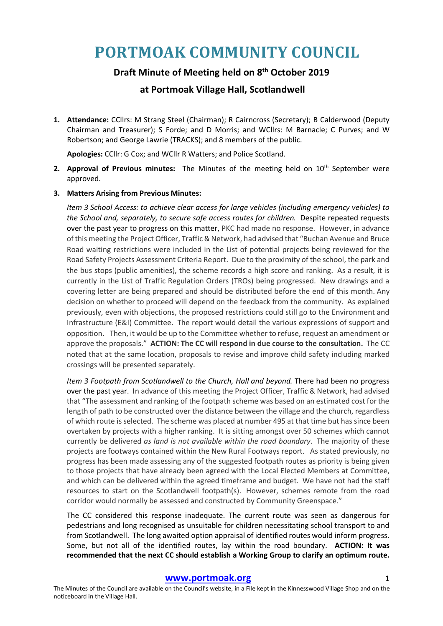# **PORTMOAK COMMUNITY COUNCIL**

## **Draft Minute of Meeting held on 8th October 2019**

### **at Portmoak Village Hall, Scotlandwell**

**1. Attendance:** CCllrs: M Strang Steel (Chairman); R Cairncross (Secretary); B Calderwood (Deputy Chairman and Treasurer); S Forde; and D Morris; and WCllrs: M Barnacle; C Purves; and W Robertson; and George Lawrie (TRACKS); and 8 members of the public.

**Apologies:** CCllr: G Cox; and WCllr R Watters; and Police Scotland.

**2. Approval of Previous minutes:** The Minutes of the meeting held on 10<sup>th</sup> September were approved.

#### **3. Matters Arising from Previous Minutes:**

*Item 3 School Access: to achieve clear access for large vehicles (including emergency vehicles) to the School and, separately, to secure safe access routes for children.* Despite repeated requests over the past year to progress on this matter, PKC had made no response. However, in advance of this meeting the Project Officer, Traffic & Network, had advised that "Buchan Avenue and Bruce Road waiting restrictions were included in the List of potential projects being reviewed for the Road Safety Projects Assessment Criteria Report. Due to the proximity of the school, the park and the bus stops (public amenities), the scheme records a high score and ranking. As a result, it is currently in the List of Traffic Regulation Orders (TROs) being progressed. New drawings and a covering letter are being prepared and should be distributed before the end of this month. Any decision on whether to proceed will depend on the feedback from the community. As explained previously, even with objections, the proposed restrictions could still go to the Environment and Infrastructure (E&I) Committee. The report would detail the various expressions of support and opposition. Then, it would be up to the Committee whether to refuse, request an amendment or approve the proposals." **ACTION: The CC will respond in due course to the consultation.** The CC noted that at the same location, proposals to revise and improve child safety including marked crossings will be presented separately.

*Item 3 Footpath from Scotlandwell to the Church, Hall and beyond.* There had been no progress over the past year. In advance of this meeting the Project Officer, Traffic & Network, had advised that "The assessment and ranking of the footpath scheme was based on an estimated cost for the length of path to be constructed over the distance between the village and the church, regardless of which route is selected. The scheme was placed at number 495 at that time but has since been overtaken by projects with a higher ranking. It is sitting amongst over 50 schemes which cannot currently be delivered *as land is not available within the road boundary*. The majority of these projects are footways contained within the New Rural Footways report. As stated previously, no progress has been made assessing any of the suggested footpath routes as priority is being given to those projects that have already been agreed with the Local Elected Members at Committee, and which can be delivered within the agreed timeframe and budget. We have not had the staff resources to start on the Scotlandwell footpath(s). However, schemes remote from the road corridor would normally be assessed and constructed by Community Greenspace."

The CC considered this response inadequate. The current route was seen as dangerous for pedestrians and long recognised as unsuitable for children necessitating school transport to and from Scotlandwell. The long awaited option appraisal of identified routes would inform progress. Some, but not all of the identified routes, lay within the road boundary. **ACTION: It was recommended that the next CC should establish a Working Group to clarify an optimum route.** 

#### **www.portmoak.org** 1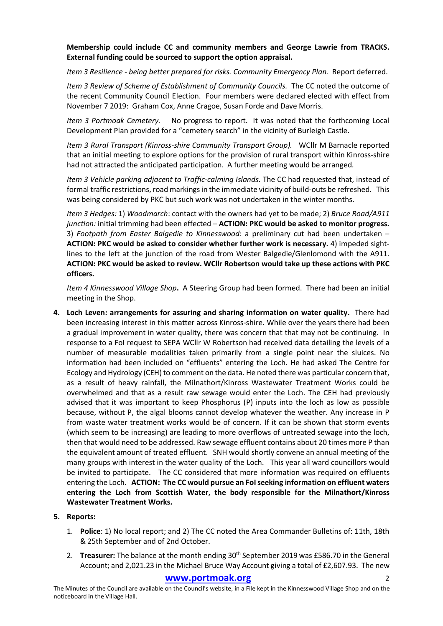#### **Membership could include CC and community members and George Lawrie from TRACKS. External funding could be sourced to support the option appraisal.**

*Item 3 Resilience - being better prepared for risks. Community Emergency Plan.* Report deferred.

*Item 3 Review of Scheme of Establishment of Community Councils.* The CC noted the outcome of the recent Community Council Election. Four members were declared elected with effect from November 7 2019: Graham Cox, Anne Cragoe, Susan Forde and Dave Morris.

*Item 3 Portmoak Cemetery.* No progress to report. It was noted that the forthcoming Local Development Plan provided for a "cemetery search" in the vicinity of Burleigh Castle.

*Item 3 Rural Transport (Kinross-shire Community Transport Group).* WCllr M Barnacle reported that an initial meeting to explore options for the provision of rural transport within Kinross-shire had not attracted the anticipated participation. A further meeting would be arranged.

*Item 3 Vehicle parking adjacent to Traffic-calming Islands.* The CC had requested that, instead of formal traffic restrictions, road markings in the immediate vicinity of build-outs be refreshed. This was being considered by PKC but such work was not undertaken in the winter months.

*Item 3 Hedges:* 1) *Woodmarch*: contact with the owners had yet to be made; 2) *Bruce Road/A911 junction:* initial trimming had been effected – **ACTION: PKC would be asked to monitor progress.** 3) *Footpath from Easter Balgedie to Kinnesswood*: a preliminary cut had been undertaken – **ACTION: PKC would be asked to consider whether further work is necessary.** 4) impeded sightlines to the left at the junction of the road from Wester Balgedie/Glenlomond with the A911. **ACTION: PKC would be asked to review. WCllr Robertson would take up these actions with PKC officers.**

*Item 4 Kinnesswood Village Shop***.** A Steering Group had been formed. There had been an initial meeting in the Shop.

- **4. Loch Leven: arrangements for assuring and sharing information on water quality.** There had been increasing interest in this matter across Kinross-shire. While over the years there had been a gradual improvement in water quality, there was concern that that may not be continuing. In response to a FoI request to SEPA WCllr W Robertson had received data detailing the levels of a number of measurable modalities taken primarily from a single point near the sluices. No information had been included on "effluents" entering the Loch. He had asked The Centre for Ecology and Hydrology (CEH) to comment on the data. He noted there was particular concern that, as a result of heavy rainfall, the Milnathort/Kinross Wastewater Treatment Works could be overwhelmed and that as a result raw sewage would enter the Loch. The CEH had previously advised that it was important to keep Phosphorus (P) inputs into the loch as low as possible because, without P, the algal blooms cannot develop whatever the weather. Any increase in P from waste water treatment works would be of concern. If it can be shown that storm events (which seem to be increasing) are leading to more overflows of untreated sewage into the loch, then that would need to be addressed. Raw sewage effluent contains about 20 times more P than the equivalent amount of treated effluent. SNH would shortly convene an annual meeting of the many groups with interest in the water quality of the Loch. This year all ward councillors would be invited to participate. The CC considered that more information was required on effluents entering the Loch. **ACTION: The CC would pursue an FoI seeking information on effluent waters entering the Loch from Scottish Water, the body responsible for the Milnathort/Kinross Wastewater Treatment Works.**
- **5. Reports:**
	- 1. **Police**: 1) No local report; and 2) The CC noted the Area Commander Bulletins of: 11th, 18th & 25th September and of 2nd October.
	- 2. **Treasurer:** The balance at the month ending 30<sup>th</sup> September 2019 was £586.70 in the General Account; and 2,021.23 in the Michael Bruce Way Account giving a total of £2,607.93. The new

#### **www.portmoak.org** 2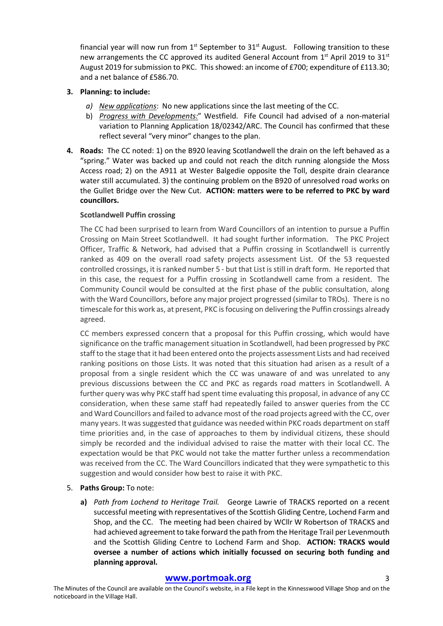financial year will now run from  $1<sup>st</sup>$  September to  $31<sup>st</sup>$  August. Following transition to these new arrangements the CC approved its audited General Account from 1<sup>st</sup> April 2019 to 31<sup>st</sup> August 2019 for submission to PKC. This showed: an income of £700; expenditure of £113.30; and a net balance of £586.70.

#### **3. Planning: to include:**

- *a) New applications*: No new applications since the last meeting of the CC.
- b) *Progress with Developments:*" Westfield. Fife Council had advised of a non-material variation to Planning Application 18/02342/ARC. The Council has confirmed that these reflect several "very minor" changes to the plan.
- **4. Roads:** The CC noted: 1) on the B920 leaving Scotlandwell the drain on the left behaved as a "spring." Water was backed up and could not reach the ditch running alongside the Moss Access road; 2) on the A911 at Wester Balgedie opposite the Toll, despite drain clearance water still accumulated. 3) the continuing problem on the B920 of unresolved road works on the Gullet Bridge over the New Cut. **ACTION: matters were to be referred to PKC by ward councillors.**

#### **Scotlandwell Puffin crossing**

The CC had been surprised to learn from Ward Councillors of an intention to pursue a Puffin Crossing on Main Street Scotlandwell. It had sought further information. The PKC Project Officer, Traffic & Network, had advised that a Puffin crossing in Scotlandwell is currently ranked as 409 on the overall road safety projects assessment List. Of the 53 requested controlled crossings, it is ranked number 5 - but that List is still in draft form. He reported that in this case, the request for a Puffin crossing in Scotlandwell came from a resident. The Community Council would be consulted at the first phase of the public consultation, along with the Ward Councillors, before any major project progressed (similar to TROs). There is no timescale for this work as, at present, PKC is focusing on delivering the Puffin crossings already agreed.

CC members expressed concern that a proposal for this Puffin crossing, which would have significance on the traffic management situation in Scotlandwell, had been progressed by PKC staff to the stage that it had been entered onto the projects assessment Lists and had received ranking positions on those Lists. It was noted that this situation had arisen as a result of a proposal from a single resident which the CC was unaware of and was unrelated to any previous discussions between the CC and PKC as regards road matters in Scotlandwell. A further query was why PKC staff had spent time evaluating this proposal, in advance of any CC consideration, when these same staff had repeatedly failed to answer queries from the CC and Ward Councillors and failed to advance most of the road projects agreed with the CC, over many years. It was suggested that guidance was needed within PKC roads department on staff time priorities and, in the case of approaches to them by individual citizens, these should simply be recorded and the individual advised to raise the matter with their local CC. The expectation would be that PKC would not take the matter further unless a recommendation was received from the CC. The Ward Councillors indicated that they were sympathetic to this suggestion and would consider how best to raise it with PKC.

- 5. **Paths Group:** To note:
	- **a)** *Path from Lochend to Heritage Trail.* George Lawrie of TRACKS reported on a recent successful meeting with representatives of the Scottish Gliding Centre, Lochend Farm and Shop, and the CC. The meeting had been chaired by WCllr W Robertson of TRACKS and had achieved agreement to take forward the path from the Heritage Trail per Levenmouth and the Scottish Gliding Centre to Lochend Farm and Shop. **ACTION: TRACKS would oversee a number of actions which initially focussed on securing both funding and planning approval.**

#### **www.portmoak.org** 3